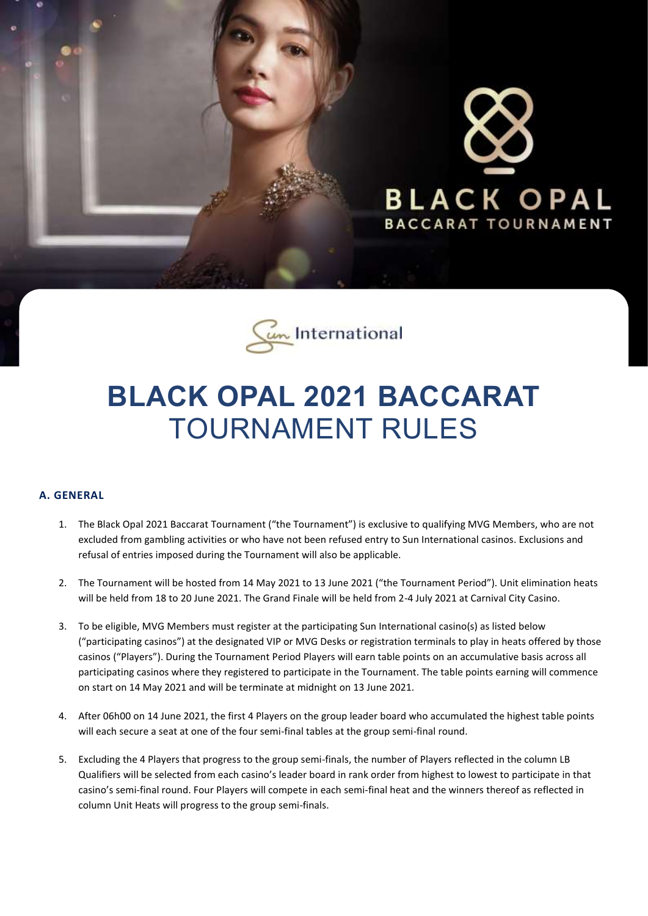



# **BLACK OPAL 2021 BACCARAT** TOURNAMENT RULES

## **A. GENERAL**

- 1. The Black Opal 2021 Baccarat Tournament ("the Tournament") is exclusive to qualifying MVG Members, who are not excluded from gambling activities or who have not been refused entry to Sun International casinos. Exclusions and refusal of entries imposed during the Tournament will also be applicable.
- 2. The Tournament will be hosted from 14 May 2021 to 13 June 2021 ("the Tournament Period"). Unit elimination heats will be held from 18 to 20 June 2021. The Grand Finale will be held from 2-4 July 2021 at Carnival City Casino.
- 3. To be eligible, MVG Members must register at the participating Sun International casino(s) as listed below ("participating casinos") at the designated VIP or MVG Desks or registration terminals to play in heats offered by those casinos ("Players"). During the Tournament Period Players will earn table points on an accumulative basis across all participating casinos where they registered to participate in the Tournament. The table points earning will commence on start on 14 May 2021 and will be terminate at midnight on 13 June 2021.
- 4. After 06h00 on 14 June 2021, the first 4 Players on the group leader board who accumulated the highest table points will each secure a seat at one of the four semi-final tables at the group semi-final round.
- 5. Excluding the 4 Players that progress to the group semi-finals, the number of Players reflected in the column LB Qualifiers will be selected from each casino's leader board in rank order from highest to lowest to participate in that casino's semi-final round. Four Players will compete in each semi-final heat and the winners thereof as reflected in column Unit Heats will progress to the group semi-finals.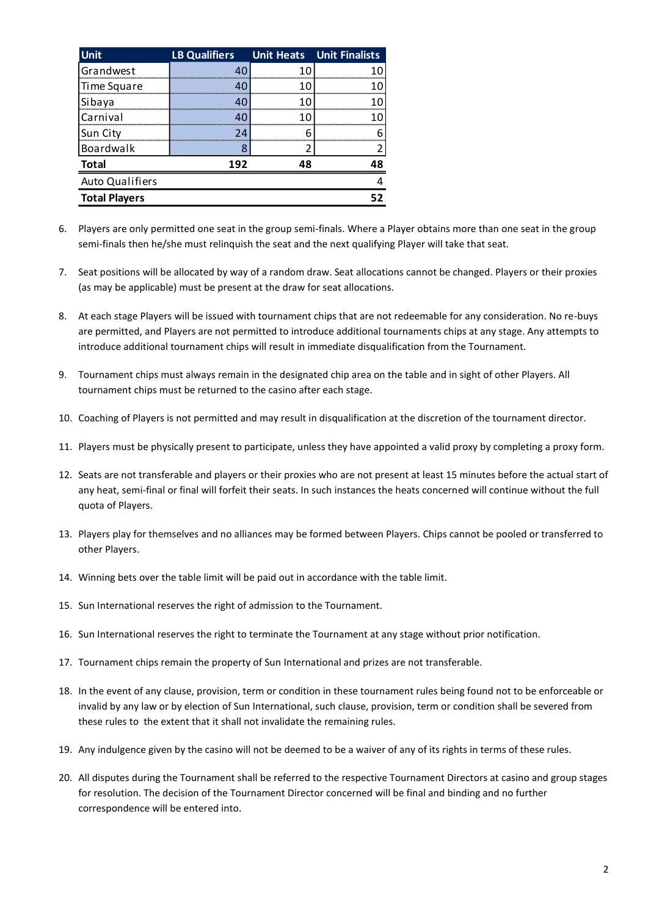| <b>Unit</b>            | <b>LB Qualifiers</b> |     | <b>Unit Heats</b> Unit Finalists |
|------------------------|----------------------|-----|----------------------------------|
| <b>Grandwest</b>       |                      | 10  |                                  |
| Time Square            |                      |     |                                  |
| Sibaya                 |                      | 1 በ |                                  |
| Carnival               |                      | 10  |                                  |
| Sun City               | 24                   |     |                                  |
| Boardwalk              | 8                    |     |                                  |
| <b>Total</b>           | 192                  | 48  | 48                               |
| <b>Auto Qualifiers</b> |                      |     |                                  |
| <b>Total Players</b>   |                      |     | 52                               |

- 6. Players are only permitted one seat in the group semi-finals. Where a Player obtains more than one seat in the group semi-finals then he/she must relinquish the seat and the next qualifying Player will take that seat.
- 7. Seat positions will be allocated by way of a random draw. Seat allocations cannot be changed. Players or their proxies (as may be applicable) must be present at the draw for seat allocations.
- 8. At each stage Players will be issued with tournament chips that are not redeemable for any consideration. No re-buys are permitted, and Players are not permitted to introduce additional tournaments chips at any stage. Any attempts to introduce additional tournament chips will result in immediate disqualification from the Tournament.
- 9. Tournament chips must always remain in the designated chip area on the table and in sight of other Players. All tournament chips must be returned to the casino after each stage.
- 10. Coaching of Players is not permitted and may result in disqualification at the discretion of the tournament director.
- 11. Players must be physically present to participate, unless they have appointed a valid proxy by completing a proxy form.
- 12. Seats are not transferable and players or their proxies who are not present at least 15 minutes before the actual start of any heat, semi-final or final will forfeit their seats. In such instances the heats concerned will continue without the full quota of Players.
- 13. Players play for themselves and no alliances may be formed between Players. Chips cannot be pooled or transferred to other Players.
- 14. Winning bets over the table limit will be paid out in accordance with the table limit.
- 15. Sun International reserves the right of admission to the Tournament.
- 16. Sun International reserves the right to terminate the Tournament at any stage without prior notification.
- 17. Tournament chips remain the property of Sun International and prizes are not transferable.
- 18. In the event of any clause, provision, term or condition in these tournament rules being found not to be enforceable or invalid by any law or by election of Sun International, such clause, provision, term or condition shall be severed from these rules to the extent that it shall not invalidate the remaining rules.
- 19. Any indulgence given by the casino will not be deemed to be a waiver of any of its rights in terms of these rules.
- 20. All disputes during the Tournament shall be referred to the respective Tournament Directors at casino and group stages for resolution. The decision of the Tournament Director concerned will be final and binding and no further correspondence will be entered into.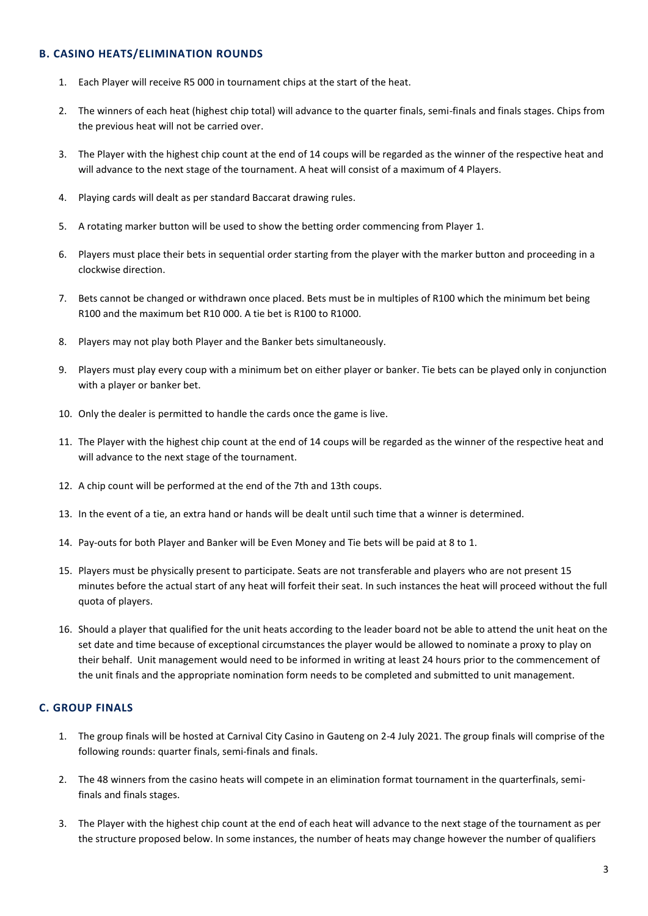### **B. CASINO HEATS/ELIMINATION ROUNDS**

- 1. Each Player will receive R5 000 in tournament chips at the start of the heat.
- 2. The winners of each heat (highest chip total) will advance to the quarter finals, semi-finals and finals stages. Chips from the previous heat will not be carried over.
- 3. The Player with the highest chip count at the end of 14 coups will be regarded as the winner of the respective heat and will advance to the next stage of the tournament. A heat will consist of a maximum of 4 Players.
- 4. Playing cards will dealt as per standard Baccarat drawing rules.
- 5. A rotating marker button will be used to show the betting order commencing from Player 1.
- 6. Players must place their bets in sequential order starting from the player with the marker button and proceeding in a clockwise direction.
- 7. Bets cannot be changed or withdrawn once placed. Bets must be in multiples of R100 which the minimum bet being R100 and the maximum bet R10 000. A tie bet is R100 to R1000.
- 8. Players may not play both Player and the Banker bets simultaneously.
- 9. Players must play every coup with a minimum bet on either player or banker. Tie bets can be played only in conjunction with a player or banker bet.
- 10. Only the dealer is permitted to handle the cards once the game is live.
- 11. The Player with the highest chip count at the end of 14 coups will be regarded as the winner of the respective heat and will advance to the next stage of the tournament.
- 12. A chip count will be performed at the end of the 7th and 13th coups.
- 13. In the event of a tie, an extra hand or hands will be dealt until such time that a winner is determined.
- 14. Pay-outs for both Player and Banker will be Even Money and Tie bets will be paid at 8 to 1.
- 15. Players must be physically present to participate. Seats are not transferable and players who are not present 15 minutes before the actual start of any heat will forfeit their seat. In such instances the heat will proceed without the full quota of players.
- 16. Should a player that qualified for the unit heats according to the leader board not be able to attend the unit heat on the set date and time because of exceptional circumstances the player would be allowed to nominate a proxy to play on their behalf. Unit management would need to be informed in writing at least 24 hours prior to the commencement of the unit finals and the appropriate nomination form needs to be completed and submitted to unit management.

### **C. GROUP FINALS**

- 1. The group finals will be hosted at Carnival City Casino in Gauteng on 2-4 July 2021. The group finals will comprise of the following rounds: quarter finals, semi-finals and finals.
- 2. The 48 winners from the casino heats will compete in an elimination format tournament in the quarterfinals, semifinals and finals stages.
- 3. The Player with the highest chip count at the end of each heat will advance to the next stage of the tournament as per the structure proposed below. In some instances, the number of heats may change however the number of qualifiers